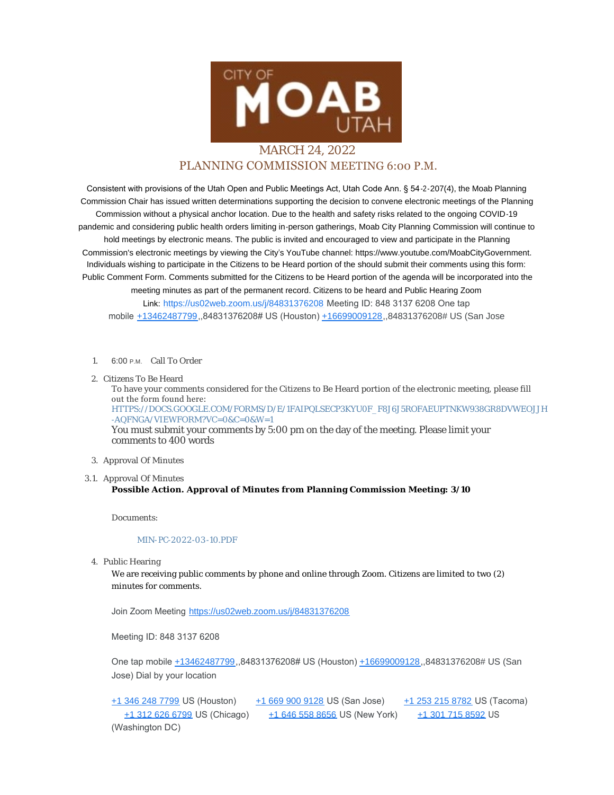

## MARCH 24, 2022 PLANNING COMMISSION MEETING 6:00 P.M.

Consistent with provisions of the Utah Open and Public Meetings Act, Utah Code Ann. § 54-2-207(4), the Moab Planning Commission Chair has issued written determinations supporting the decision to convene electronic meetings of the Planning Commission without a physical anchor location. Due to the health and safety risks related to the ongoing COVID-19 pandemic and considering public health orders limiting in-person gatherings, Moab City Planning Commission will continue to hold meetings by electronic means. The public is invited and encouraged to view and participate in the Planning Commission's electronic meetings by viewing the City's YouTube channel: https://www.youtube.com/MoabCityGovernment. Individuals wishing to participate in the Citizens to be Heard portion of the should submit their comments using this form: Public Comment Form. Comments submitted for the Citizens to be Heard portion of the agenda will be incorporated into the meeting minutes as part of the permanent record. Citizens to be heard and Public Hearing Zoom Link: <https://us02web.zoom.us/j/84831376208> Meeting ID: 848 3137 6208 One tap mobile [+13462487799](tel:+13462487799),,84831376208# US (Houston) [+16699009128](tel:+16699009128),,84831376208# US (San Jose

- 1. 6:00 P.M. Call To Order
- 2. Citizens To Be Heard

To have your comments considered for the Citizens to Be Heard portion of the electronic meeting, please fill out the form found here: [HTTPS://DOCS.GOOGLE.COM/FORMS/D/E/1FAIPQLSECP3KYU0F\\_F8J6J5ROFAEUPTNKW938GR8DVWEOJJH](https://docs.google.com/forms/d/e/1FAIpQLSecp3kyu0F_f8J6J5ROfaeUPtNkW938GR8dvweOJjH-aQfNgA/viewform?vc=0&c=0&w=1) -AQFNGA/VIEWFORM?VC=0&C=0&W=1 You must submit your comments by 5:00 pm on the day of the meeting. Please limit your comments to 400 words

## 3. Approval Of Minutes

3.1. Approval Of Minutes

## **Possible Action. Approval of Minutes from Planning Commission Meeting: 3/10**

Documents:

## [MIN-PC-2022-03](https://moabcity.org/AgendaCenter/ViewFile/Item/4736?fileID=5728) -10.PDF

4. Public Hearing

We are receiving public comments by phone and online through Zoom. Citizens are limited to two (2) minutes for comments.

Join Zoom Meeting <https://us02web.zoom.us/j/84831376208>

Meeting ID: 848 3137 6208

One tap mobile [+13462487799](tel:+13462487799),,84831376208# US (Houston) [+16699009128,](tel:+16699009128),84831376208# US (San Jose) Dial by your location

[+1 346 248 7799](tel:+1 346 248 7799) US (Houston) [+1 669 900 9128](tel:+1 669 900 9128) US (San Jose) [+1 253 215 8782](tel:+1 253 215 8782) US (Tacoma) [+1 312 626 6799](tel:+1 312 626 6799) US (Chicago) [+1 646 558 8656](tel:+1 646 558 8656) US (New York) [+1 301 715 8592](tel:+1 301 715 8592) US (Washington DC)